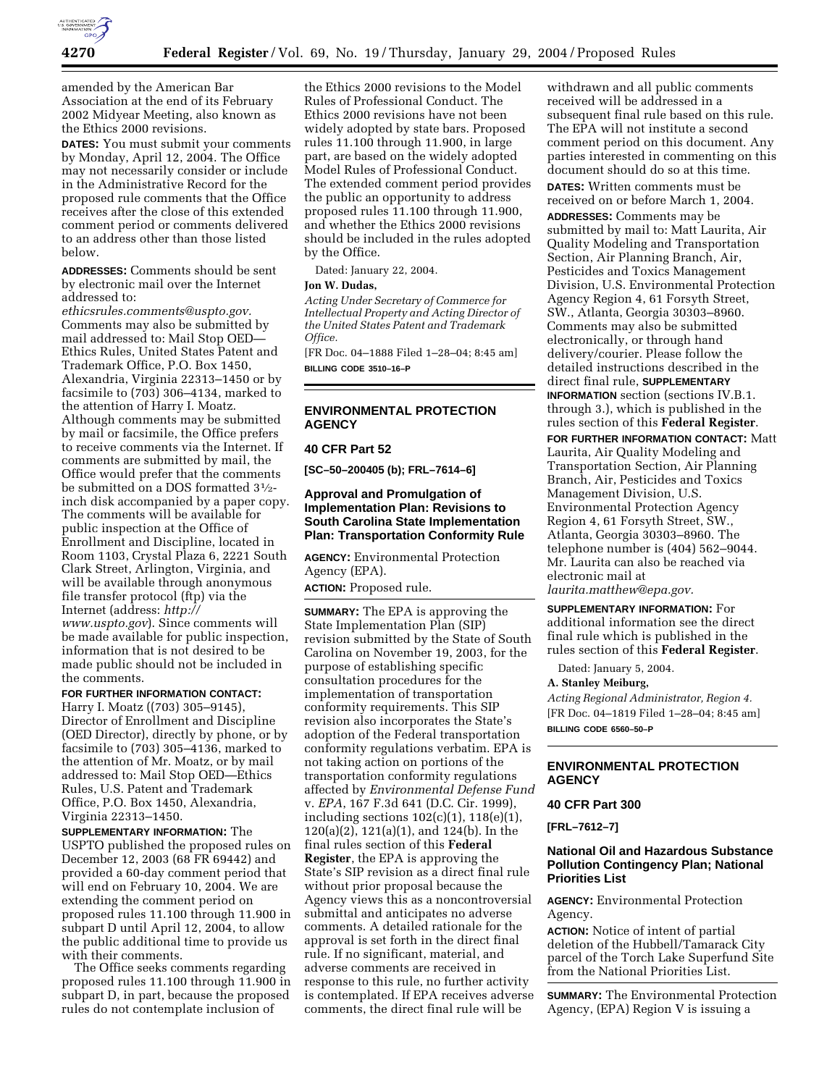

amended by the American Bar Association at the end of its February 2002 Midyear Meeting, also known as the Ethics 2000 revisions.

**DATES:** You must submit your comments by Monday, April 12, 2004. The Office may not necessarily consider or include in the Administrative Record for the proposed rule comments that the Office receives after the close of this extended comment period or comments delivered to an address other than those listed below.

**ADDRESSES:** Comments should be sent by electronic mail over the Internet addressed to:

*ethicsrules.comments@uspto.gov.* Comments may also be submitted by mail addressed to: Mail Stop OED— Ethics Rules, United States Patent and Trademark Office, P.O. Box 1450, Alexandria, Virginia 22313–1450 or by facsimile to (703) 306–4134, marked to the attention of Harry I. Moatz. Although comments may be submitted by mail or facsimile, the Office prefers to receive comments via the Internet. If comments are submitted by mail, the Office would prefer that the comments be submitted on a DOS formatted 31⁄2 inch disk accompanied by a paper copy. The comments will be available for public inspection at the Office of Enrollment and Discipline, located in Room 1103, Crystal Plaza 6, 2221 South Clark Street, Arlington, Virginia, and will be available through anonymous file transfer protocol (ftp) via the Internet (address: *http:// www.uspto.gov*). Since comments will

be made available for public inspection, information that is not desired to be made public should not be included in the comments.

#### **FOR FURTHER INFORMATION CONTACT:**

Harry I. Moatz ((703) 305–9145), Director of Enrollment and Discipline (OED Director), directly by phone, or by facsimile to (703) 305–4136, marked to the attention of Mr. Moatz, or by mail addressed to: Mail Stop OED—Ethics Rules, U.S. Patent and Trademark Office, P.O. Box 1450, Alexandria, Virginia 22313–1450.

**SUPPLEMENTARY INFORMATION:** The USPTO published the proposed rules on December 12, 2003 (68 FR 69442) and provided a 60-day comment period that will end on February 10, 2004. We are extending the comment period on proposed rules 11.100 through 11.900 in subpart D until April 12, 2004, to allow the public additional time to provide us with their comments.

The Office seeks comments regarding proposed rules 11.100 through 11.900 in subpart D, in part, because the proposed rules do not contemplate inclusion of

the Ethics 2000 revisions to the Model Rules of Professional Conduct. The Ethics 2000 revisions have not been widely adopted by state bars. Proposed rules 11.100 through 11.900, in large part, are based on the widely adopted Model Rules of Professional Conduct. The extended comment period provides the public an opportunity to address proposed rules 11.100 through 11.900, and whether the Ethics 2000 revisions should be included in the rules adopted by the Office.

Dated: January 22, 2004.

# **Jon W. Dudas,**

*Acting Under Secretary of Commerce for Intellectual Property and Acting Director of the United States Patent and Trademark Office.*

[FR Doc. 04–1888 Filed 1–28–04; 8:45 am] **BILLING CODE 3510–16–P**

# **ENVIRONMENTAL PROTECTION AGENCY**

#### **40 CFR Part 52**

**[SC–50–200405 (b); FRL–7614–6]** 

# **Approval and Promulgation of Implementation Plan: Revisions to South Carolina State Implementation Plan: Transportation Conformity Rule**

**AGENCY:** Environmental Protection Agency (EPA). **ACTION:** Proposed rule.

**SUMMARY:** The EPA is approving the State Implementation Plan (SIP) revision submitted by the State of South Carolina on November 19, 2003, for the purpose of establishing specific consultation procedures for the implementation of transportation conformity requirements. This SIP revision also incorporates the State's adoption of the Federal transportation conformity regulations verbatim. EPA is not taking action on portions of the transportation conformity regulations affected by *Environmental Defense Fund* v. *EPA*, 167 F.3d 641 (D.C. Cir. 1999), including sections  $102(c)(1)$ ,  $118(e)(1)$ , 120(a)(2), 121(a)(1), and 124(b). In the final rules section of this **Federal Register**, the EPA is approving the State's SIP revision as a direct final rule without prior proposal because the Agency views this as a noncontroversial submittal and anticipates no adverse comments. A detailed rationale for the approval is set forth in the direct final rule. If no significant, material, and adverse comments are received in response to this rule, no further activity is contemplated. If EPA receives adverse comments, the direct final rule will be

withdrawn and all public comments received will be addressed in a subsequent final rule based on this rule. The EPA will not institute a second comment period on this document. Any parties interested in commenting on this document should do so at this time. **DATES:** Written comments must be

received on or before March 1, 2004.

**ADDRESSES:** Comments may be submitted by mail to: Matt Laurita, Air Quality Modeling and Transportation Section, Air Planning Branch, Air, Pesticides and Toxics Management Division, U.S. Environmental Protection Agency Region 4, 61 Forsyth Street, SW., Atlanta, Georgia 30303–8960. Comments may also be submitted electronically, or through hand delivery/courier. Please follow the detailed instructions described in the direct final rule, **SUPPLEMENTARY INFORMATION** section (sections IV.B.1. through 3.), which is published in the rules section of this **Federal Register**.

**FOR FURTHER INFORMATION CONTACT:** Matt Laurita, Air Quality Modeling and Transportation Section, Air Planning Branch, Air, Pesticides and Toxics Management Division, U.S. Environmental Protection Agency Region 4, 61 Forsyth Street, SW., Atlanta, Georgia 30303–8960. The telephone number is (404) 562–9044. Mr. Laurita can also be reached via electronic mail at *laurita.matthew@epa.gov.*

**SUPPLEMENTARY INFORMATION:** For additional information see the direct final rule which is published in the rules section of this **Federal Register**.

Dated: January 5, 2004.

#### **A. Stanley Meiburg,**

*Acting Regional Administrator, Region 4.* [FR Doc. 04–1819 Filed 1–28–04; 8:45 am] **BILLING CODE 6560–50–P**

## **ENVIRONMENTAL PROTECTION AGENCY**

## **40 CFR Part 300**

**[FRL–7612–7]** 

## **National Oil and Hazardous Substance Pollution Contingency Plan; National Priorities List**

**AGENCY:** Environmental Protection Agency.

**ACTION:** Notice of intent of partial deletion of the Hubbell/Tamarack City parcel of the Torch Lake Superfund Site from the National Priorities List.

**SUMMARY:** The Environmental Protection Agency, (EPA) Region V is issuing a